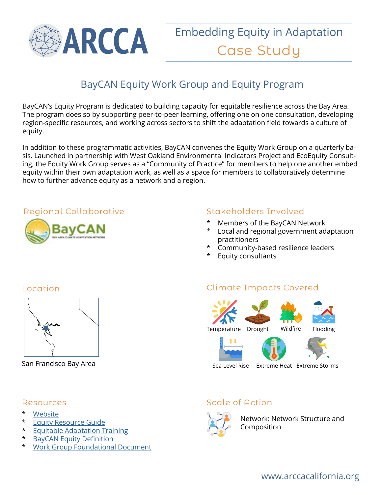

# BayCAN Equity Work Group and Equity Program

BayCAN's Equity Program is dedicated to building capacity for equitable resilience across the Bay Area. The program does so by supporting peer-to-peer learning, offering one on one consultation, developing region-specific resources, and working across sectors to shift the adaptation field towards a culture of equity.

In addition to these programmatic activities, BayCAN convenes the Equity Work Group on a quarterly basis. Launched in partnership with West Oakland Environmental Indicators Project and EcoEquity Consulting, the Equity Work Group serves as a "Community of Practice" for members to help one another embed equity within their own adaptation work, as well as a space for members to collaboratively determine how to further advance equity as a network and a region.

#### Regional Collaborative



### Stakeholders Involved

- \* Members of the BayCAN Network
- \* Local and regional government adaptation practitioners
- \* Community-based resilience leaders
- **Equity consultants**

#### Location



San Francisco Bay Area

#### Resources

- \* Website
- **Equity Resource Guide**
- \* Equitable Adaptation Training
- \* BayCAN Equity Definition
- \* Work Group Foundational Document

### Climate Impacts Covered



Sea Level Rise Extreme Heat Extreme Storms

### Scale of Action



Network: Network Structure and Composition